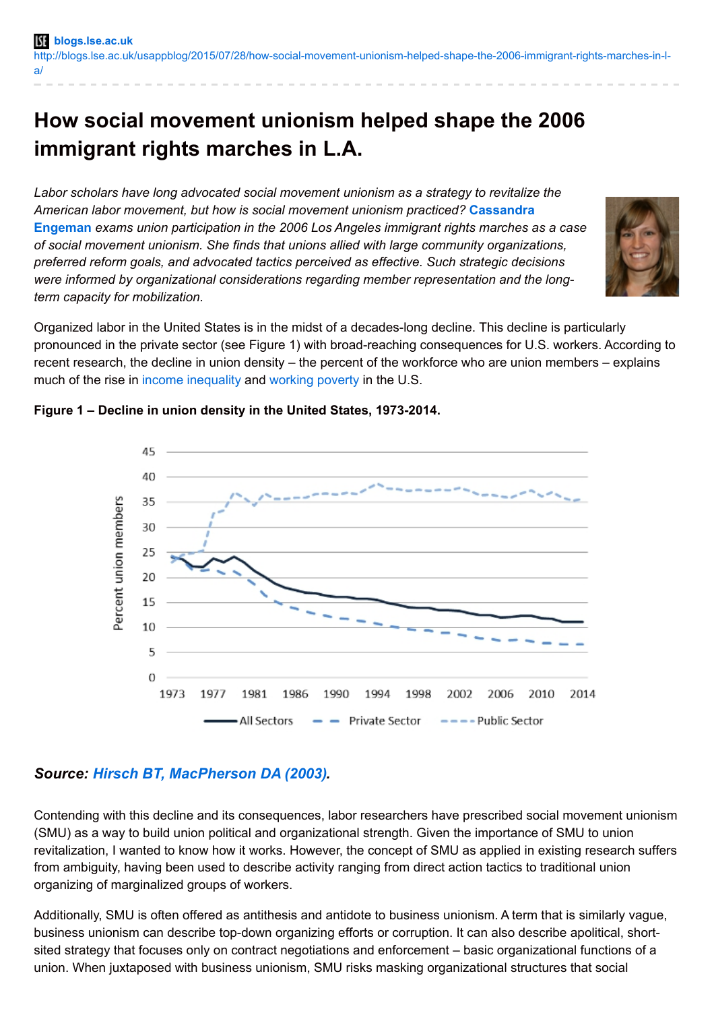# **How social movement unionism helped shape the 2006 immigrant rights marches in L.A.**

*Labor scholars have long advocated social movement unionism as a strategy to revitalize the American labor movement, but how is social movement unionism practiced?* **[Cassandra](http://wp.me/p3I2YF-3U8#Author) Engeman** *exams union participation in the 2006 Los Angeles immigrant rights marches as a case of social movement unionism. She finds that unions allied with large community organizations, preferred reform goals, and advocated tactics perceived as effective. Such strategic decisions were informed by organizational considerations regarding member representation and the longterm capacity for mobilization.*



Organized labor in the United States is in the midst of a decades-long decline. This decline is particularly pronounced in the private sector (see Figure 1) with broad-reaching consequences for U.S. workers. According to recent research, the decline in union density – the percent of the workforce who are union members – explains much of the rise in income [inequality](http://blogs.lse.ac.uk/usappblog/2014/08/12/rising-income-inequality-in-the-u-s-was-fuelled-by-ronald-reagans-attacks-on-union-strength-and-continued-by-bill-clintons-financial-deregulation/) and [working](http://blogs.lse.ac.uk/usappblog/2013/10/30/poverty-unionization/) poverty in the U.S.



### **Figure 1 – Decline in union density in the United States, 1973-2014.**

## *Source: Hirsch BT, [MacPherson](http://www.unionstats.com/) DA (2003).*

Contending with this decline and its consequences, labor researchers have prescribed social movement unionism (SMU) as a way to build union political and organizational strength. Given the importance of SMU to union revitalization, I wanted to know how it works. However, the concept of SMU as applied in existing research suffers from ambiguity, having been used to describe activity ranging from direct action tactics to traditional union organizing of marginalized groups of workers.

Additionally, SMU is often offered as antithesis and antidote to business unionism. A term that is similarly vague, business unionism can describe top-down organizing efforts or corruption. It can also describe apolitical, shortsited strategy that focuses only on contract negotiations and enforcement – basic organizational functions of a union. When juxtaposed with business unionism, SMU risks masking organizational structures that social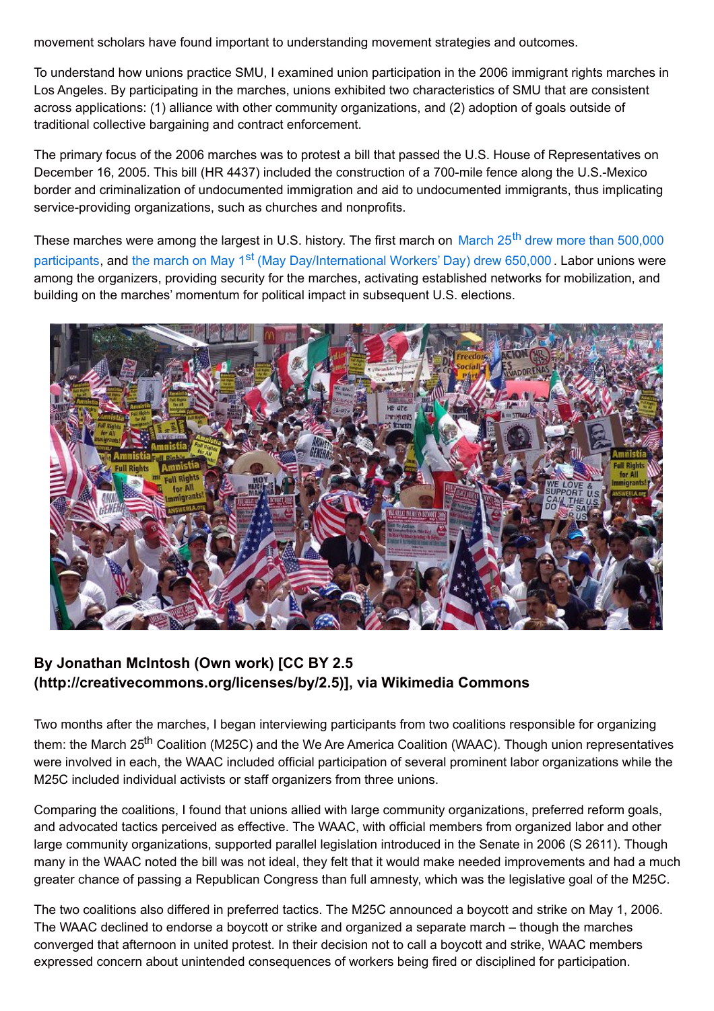movement scholars have found important to understanding movement strategies and outcomes.

To understand how unions practice SMU, I examined union participation in the 2006 immigrant rights marches in Los Angeles. By participating in the marches, unions exhibited two characteristics of SMU that are consistent across applications: (1) alliance with other community organizations, and (2) adoption of goals outside of traditional collective bargaining and contract enforcement.

The primary focus of the 2006 marches was to protest a bill that passed the U.S. House of Representatives on December 16, 2005. This bill (HR 4437) included the construction of a 700-mile fence along the U.S.-Mexico border and criminalization of undocumented immigration and aid to undocumented immigrants, thus implicating service-providing organizations, such as churches and nonprofits.

These marches were among the largest in U.S. history. The first march on March 25<sup>th</sup> drew more than 500,000 participants, and the march on May 1<sup>st</sup> (May [Day/International](http://articles.latimes.com/2006/mar/26/local/me-immig26) Workers' Day) drew 650,000 . Lab<mark>or unions were</mark> among the organizers, providing security for the marches, activating established networks for mobilization, and building on the marches' momentum for political impact in subsequent U.S. elections.



## **By Jonathan McIntosh (Own work) [CC BY 2.5 (http://creativecommons.org/licenses/by/2.5)], via Wikimedia Commons**

Two months after the marches, I began interviewing participants from two coalitions responsible for organizing them: the March 25<sup>th</sup> Coalition (M25C) and the We Are America Coalition (WAAC). Though union representatives were involved in each, the WAAC included official participation of several prominent labor organizations while the M25C included individual activists or staff organizers from three unions.

Comparing the coalitions, I found that unions allied with large community organizations, preferred reform goals, and advocated tactics perceived as effective. The WAAC, with official members from organized labor and other large community organizations, supported parallel legislation introduced in the Senate in 2006 (S 2611). Though many in the WAAC noted the bill was not ideal, they felt that it would make needed improvements and had a much greater chance of passing a Republican Congress than full amnesty, which was the legislative goal of the M25C.

The two coalitions also differed in preferred tactics. The M25C announced a boycott and strike on May 1, 2006. The WAAC declined to endorse a boycott or strike and organized a separate march – though the marches converged that afternoon in united protest. In their decision not to call a boycott and strike, WAAC members expressed concern about unintended consequences of workers being fired or disciplined for participation.